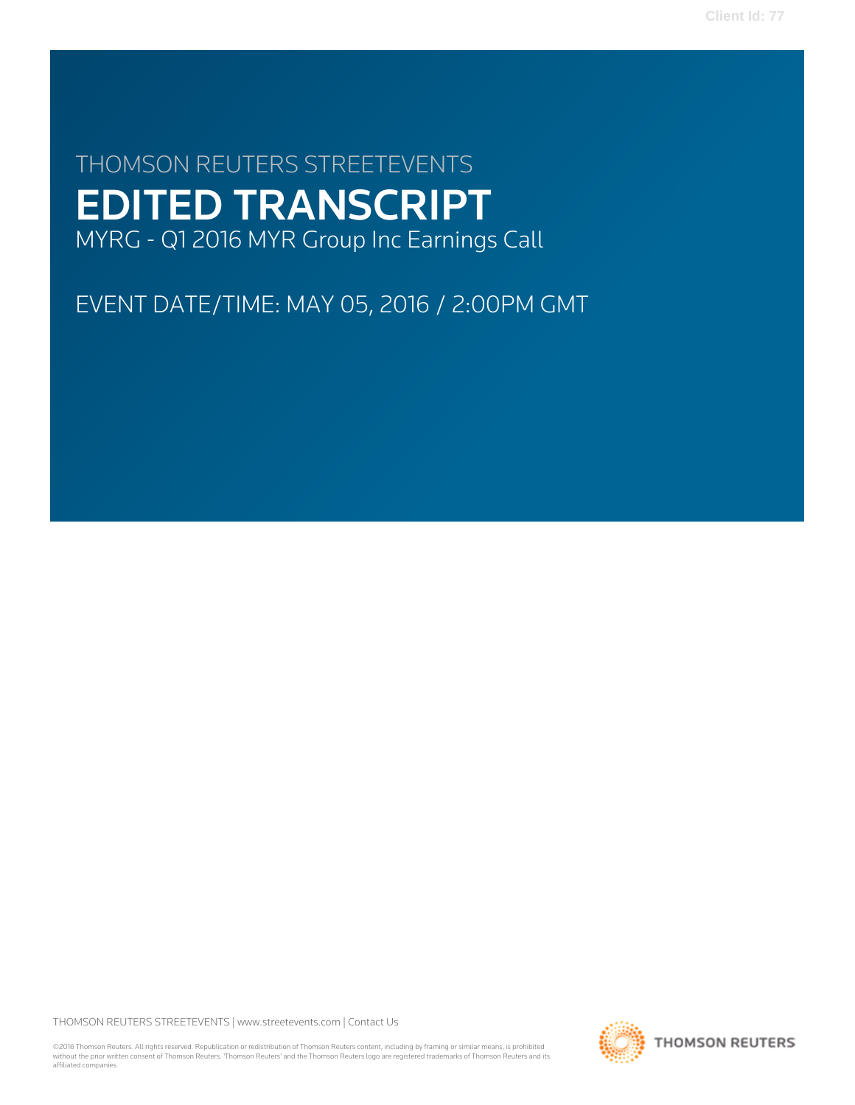# THOMSON REUTERS STREETEVENTS EDITED TRANSCRIPT MYRG - Q1 2016 MYR Group Inc Earnings Call

EVENT DATE/TIME: MAY 05, 2016 / 2:00PM GMT

THOMSON REUTERS STREETEVENTS | [www.streetevents.com](http://www.streetevents.com) | [Contact Us](http://www010.streetevents.com/contact.asp)

©2016 Thomson Reuters. All rights reserved. Republication or redistribution of Thomson Reuters content, including by framing or similar means, is prohibited without the prior written consent of Thomson Reuters. 'Thomson Reuters' and the Thomson Reuters logo are registered trademarks of Thomson Reuters and its affiliated companies.

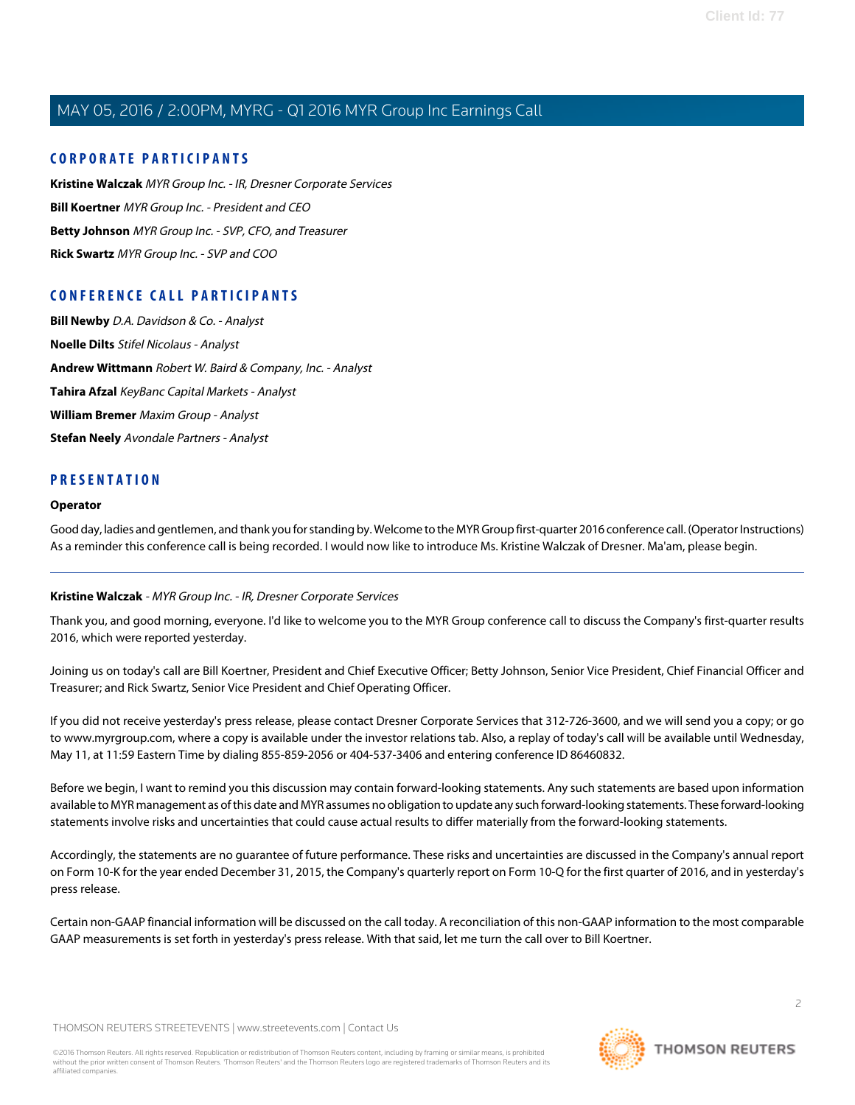# **CORPORATE PARTICIPANTS**

**[Kristine Walczak](#page-1-0)** MYR Group Inc. - IR, Dresner Corporate Services **[Bill Koertner](#page-2-0)** MYR Group Inc. - President and CEO **[Betty Johnson](#page-3-0)** MYR Group Inc. - SVP, CFO, and Treasurer **[Rick Swartz](#page-4-0)** MYR Group Inc. - SVP and COO

# **CONFERENCE CALL PARTICIPANTS**

**[Bill Newby](#page-6-0)** D.A. Davidson & Co. - Analyst **[Noelle Dilts](#page-7-0)** Stifel Nicolaus - Analyst **[Andrew Wittmann](#page-9-0)** Robert W. Baird & Company, Inc. - Analyst **[Tahira Afzal](#page-10-0)** KeyBanc Capital Markets - Analyst **[William Bremer](#page-12-0)** Maxim Group - Analyst **[Stefan Neely](#page-14-0)** Avondale Partners - Analyst

# **PRESENTATION**

#### **Operator**

<span id="page-1-0"></span>Good day, ladies and gentlemen, and thank you for standing by. Welcome to the MYR Group first-quarter 2016 conference call. (Operator Instructions) As a reminder this conference call is being recorded. I would now like to introduce Ms. Kristine Walczak of Dresner. Ma'am, please begin.

# **Kristine Walczak** - MYR Group Inc. - IR, Dresner Corporate Services

Thank you, and good morning, everyone. I'd like to welcome you to the MYR Group conference call to discuss the Company's first-quarter results 2016, which were reported yesterday.

Joining us on today's call are Bill Koertner, President and Chief Executive Officer; Betty Johnson, Senior Vice President, Chief Financial Officer and Treasurer; and Rick Swartz, Senior Vice President and Chief Operating Officer.

If you did not receive yesterday's press release, please contact Dresner Corporate Services that 312-726-3600, and we will send you a copy; or go to www.myrgroup.com, where a copy is available under the investor relations tab. Also, a replay of today's call will be available until Wednesday, May 11, at 11:59 Eastern Time by dialing 855-859-2056 or 404-537-3406 and entering conference ID 86460832.

Before we begin, I want to remind you this discussion may contain forward-looking statements. Any such statements are based upon information available to MYR management as of this date and MYR assumes no obligation to update any such forward-looking statements. These forward-looking statements involve risks and uncertainties that could cause actual results to differ materially from the forward-looking statements.

Accordingly, the statements are no guarantee of future performance. These risks and uncertainties are discussed in the Company's annual report on Form 10-K for the year ended December 31, 2015, the Company's quarterly report on Form 10-Q for the first quarter of 2016, and in yesterday's press release.

Certain non-GAAP financial information will be discussed on the call today. A reconciliation of this non-GAAP information to the most comparable GAAP measurements is set forth in yesterday's press release. With that said, let me turn the call over to Bill Koertner.

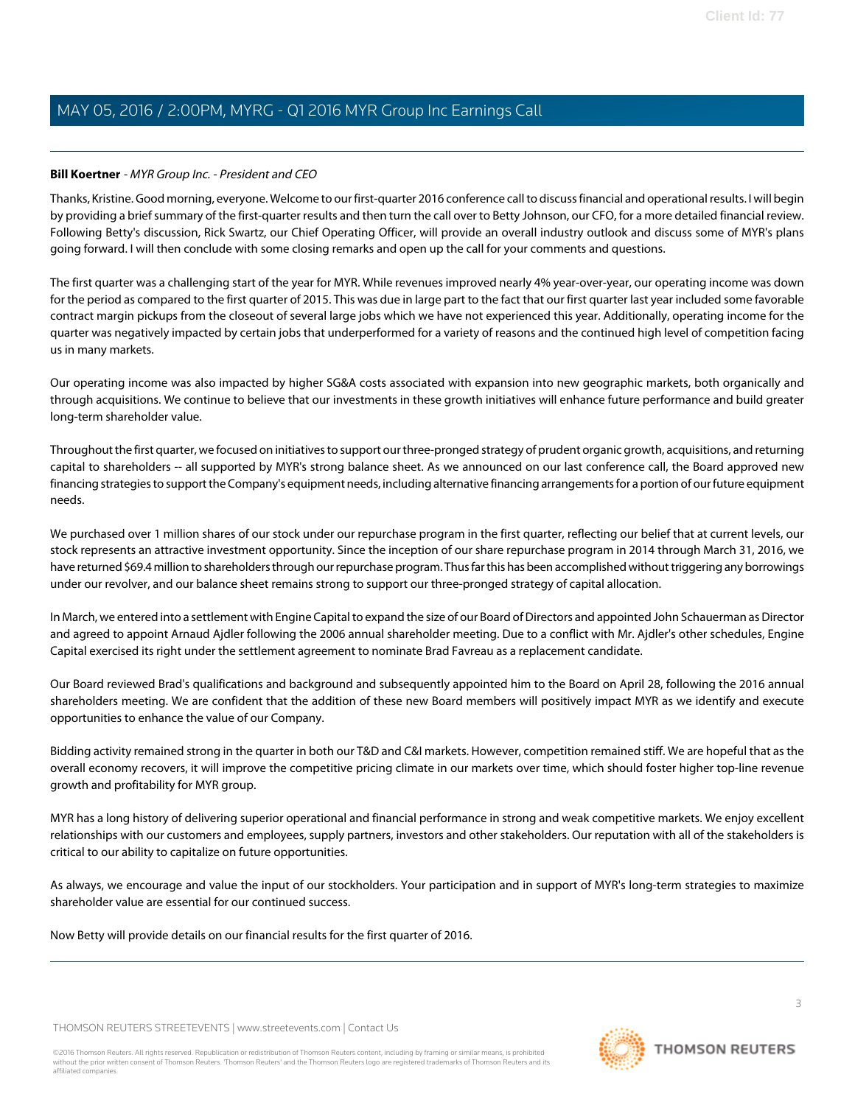### <span id="page-2-0"></span>**Bill Koertner** - MYR Group Inc. - President and CEO

Thanks, Kristine. Good morning, everyone. Welcome to our first-quarter 2016 conference call to discuss financial and operational results. I will begin by providing a brief summary of the first-quarter results and then turn the call over to Betty Johnson, our CFO, for a more detailed financial review. Following Betty's discussion, Rick Swartz, our Chief Operating Officer, will provide an overall industry outlook and discuss some of MYR's plans going forward. I will then conclude with some closing remarks and open up the call for your comments and questions.

The first quarter was a challenging start of the year for MYR. While revenues improved nearly 4% year-over-year, our operating income was down for the period as compared to the first quarter of 2015. This was due in large part to the fact that our first quarter last year included some favorable contract margin pickups from the closeout of several large jobs which we have not experienced this year. Additionally, operating income for the quarter was negatively impacted by certain jobs that underperformed for a variety of reasons and the continued high level of competition facing us in many markets.

Our operating income was also impacted by higher SG&A costs associated with expansion into new geographic markets, both organically and through acquisitions. We continue to believe that our investments in these growth initiatives will enhance future performance and build greater long-term shareholder value.

Throughout the first quarter, we focused on initiatives to support our three-pronged strategy of prudent organic growth, acquisitions, and returning capital to shareholders -- all supported by MYR's strong balance sheet. As we announced on our last conference call, the Board approved new financing strategies to support the Company's equipment needs, including alternative financing arrangements for a portion of our future equipment needs.

We purchased over 1 million shares of our stock under our repurchase program in the first quarter, reflecting our belief that at current levels, our stock represents an attractive investment opportunity. Since the inception of our share repurchase program in 2014 through March 31, 2016, we have returned \$69.4 million to shareholders through our repurchase program. Thus far this has been accomplished without triggering any borrowings under our revolver, and our balance sheet remains strong to support our three-pronged strategy of capital allocation.

In March, we entered into a settlement with Engine Capital to expand the size of our Board of Directors and appointed John Schauerman as Director and agreed to appoint Arnaud Ajdler following the 2006 annual shareholder meeting. Due to a conflict with Mr. Ajdler's other schedules, Engine Capital exercised its right under the settlement agreement to nominate Brad Favreau as a replacement candidate.

Our Board reviewed Brad's qualifications and background and subsequently appointed him to the Board on April 28, following the 2016 annual shareholders meeting. We are confident that the addition of these new Board members will positively impact MYR as we identify and execute opportunities to enhance the value of our Company.

Bidding activity remained strong in the quarter in both our T&D and C&I markets. However, competition remained stiff. We are hopeful that as the overall economy recovers, it will improve the competitive pricing climate in our markets over time, which should foster higher top-line revenue growth and profitability for MYR group.

MYR has a long history of delivering superior operational and financial performance in strong and weak competitive markets. We enjoy excellent relationships with our customers and employees, supply partners, investors and other stakeholders. Our reputation with all of the stakeholders is critical to our ability to capitalize on future opportunities.

As always, we encourage and value the input of our stockholders. Your participation and in support of MYR's long-term strategies to maximize shareholder value are essential for our continued success.

Now Betty will provide details on our financial results for the first quarter of 2016.

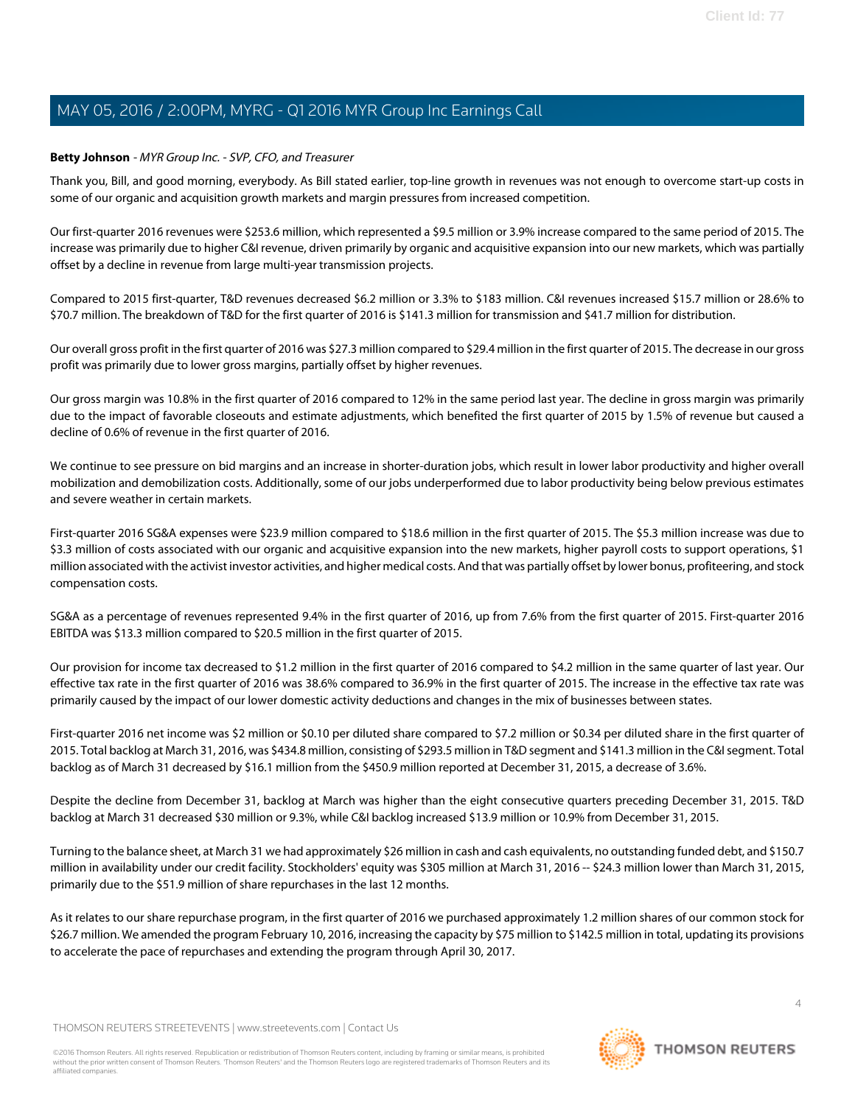# <span id="page-3-0"></span>**Betty Johnson** - MYR Group Inc. - SVP, CFO, and Treasurer

Thank you, Bill, and good morning, everybody. As Bill stated earlier, top-line growth in revenues was not enough to overcome start-up costs in some of our organic and acquisition growth markets and margin pressures from increased competition.

Our first-quarter 2016 revenues were \$253.6 million, which represented a \$9.5 million or 3.9% increase compared to the same period of 2015. The increase was primarily due to higher C&I revenue, driven primarily by organic and acquisitive expansion into our new markets, which was partially offset by a decline in revenue from large multi-year transmission projects.

Compared to 2015 first-quarter, T&D revenues decreased \$6.2 million or 3.3% to \$183 million. C&I revenues increased \$15.7 million or 28.6% to \$70.7 million. The breakdown of T&D for the first quarter of 2016 is \$141.3 million for transmission and \$41.7 million for distribution.

Our overall gross profit in the first quarter of 2016 was \$27.3 million compared to \$29.4 million in the first quarter of 2015. The decrease in our gross profit was primarily due to lower gross margins, partially offset by higher revenues.

Our gross margin was 10.8% in the first quarter of 2016 compared to 12% in the same period last year. The decline in gross margin was primarily due to the impact of favorable closeouts and estimate adjustments, which benefited the first quarter of 2015 by 1.5% of revenue but caused a decline of 0.6% of revenue in the first quarter of 2016.

We continue to see pressure on bid margins and an increase in shorter-duration jobs, which result in lower labor productivity and higher overall mobilization and demobilization costs. Additionally, some of our jobs underperformed due to labor productivity being below previous estimates and severe weather in certain markets.

First-quarter 2016 SG&A expenses were \$23.9 million compared to \$18.6 million in the first quarter of 2015. The \$5.3 million increase was due to \$3.3 million of costs associated with our organic and acquisitive expansion into the new markets, higher payroll costs to support operations, \$1 million associated with the activist investor activities, and higher medical costs. And that was partially offset by lower bonus, profiteering, and stock compensation costs.

SG&A as a percentage of revenues represented 9.4% in the first quarter of 2016, up from 7.6% from the first quarter of 2015. First-quarter 2016 EBITDA was \$13.3 million compared to \$20.5 million in the first quarter of 2015.

Our provision for income tax decreased to \$1.2 million in the first quarter of 2016 compared to \$4.2 million in the same quarter of last year. Our effective tax rate in the first quarter of 2016 was 38.6% compared to 36.9% in the first quarter of 2015. The increase in the effective tax rate was primarily caused by the impact of our lower domestic activity deductions and changes in the mix of businesses between states.

First-quarter 2016 net income was \$2 million or \$0.10 per diluted share compared to \$7.2 million or \$0.34 per diluted share in the first quarter of 2015. Total backlog at March 31, 2016, was \$434.8 million, consisting of \$293.5 million in T&D segment and \$141.3 million in the C&I segment. Total backlog as of March 31 decreased by \$16.1 million from the \$450.9 million reported at December 31, 2015, a decrease of 3.6%.

Despite the decline from December 31, backlog at March was higher than the eight consecutive quarters preceding December 31, 2015. T&D backlog at March 31 decreased \$30 million or 9.3%, while C&I backlog increased \$13.9 million or 10.9% from December 31, 2015.

Turning to the balance sheet, at March 31 we had approximately \$26 million in cash and cash equivalents, no outstanding funded debt, and \$150.7 million in availability under our credit facility. Stockholders' equity was \$305 million at March 31, 2016 -- \$24.3 million lower than March 31, 2015, primarily due to the \$51.9 million of share repurchases in the last 12 months.

As it relates to our share repurchase program, in the first quarter of 2016 we purchased approximately 1.2 million shares of our common stock for \$26.7 million. We amended the program February 10, 2016, increasing the capacity by \$75 million to \$142.5 million in total, updating its provisions to accelerate the pace of repurchases and extending the program through April 30, 2017.

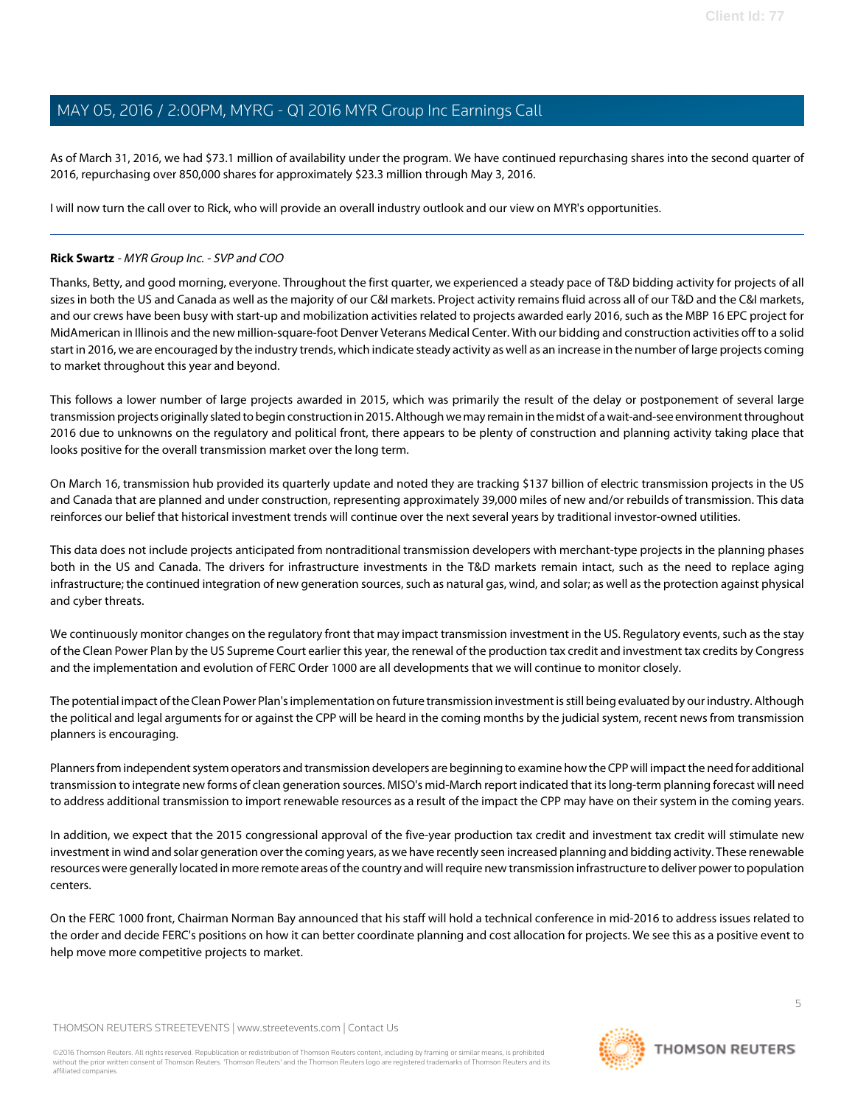As of March 31, 2016, we had \$73.1 million of availability under the program. We have continued repurchasing shares into the second quarter of 2016, repurchasing over 850,000 shares for approximately \$23.3 million through May 3, 2016.

I will now turn the call over to Rick, who will provide an overall industry outlook and our view on MYR's opportunities.

# <span id="page-4-0"></span>**Rick Swartz** - MYR Group Inc. - SVP and COO

Thanks, Betty, and good morning, everyone. Throughout the first quarter, we experienced a steady pace of T&D bidding activity for projects of all sizes in both the US and Canada as well as the majority of our C&I markets. Project activity remains fluid across all of our T&D and the C&I markets, and our crews have been busy with start-up and mobilization activities related to projects awarded early 2016, such as the MBP 16 EPC project for MidAmerican in Illinois and the new million-square-foot Denver Veterans Medical Center. With our bidding and construction activities off to a solid start in 2016, we are encouraged by the industry trends, which indicate steady activity as well as an increase in the number of large projects coming to market throughout this year and beyond.

This follows a lower number of large projects awarded in 2015, which was primarily the result of the delay or postponement of several large transmission projects originally slated to begin construction in 2015. Although we may remain in the midst of a wait-and-see environment throughout 2016 due to unknowns on the regulatory and political front, there appears to be plenty of construction and planning activity taking place that looks positive for the overall transmission market over the long term.

On March 16, transmission hub provided its quarterly update and noted they are tracking \$137 billion of electric transmission projects in the US and Canada that are planned and under construction, representing approximately 39,000 miles of new and/or rebuilds of transmission. This data reinforces our belief that historical investment trends will continue over the next several years by traditional investor-owned utilities.

This data does not include projects anticipated from nontraditional transmission developers with merchant-type projects in the planning phases both in the US and Canada. The drivers for infrastructure investments in the T&D markets remain intact, such as the need to replace aging infrastructure; the continued integration of new generation sources, such as natural gas, wind, and solar; as well as the protection against physical and cyber threats.

We continuously monitor changes on the regulatory front that may impact transmission investment in the US. Regulatory events, such as the stay of the Clean Power Plan by the US Supreme Court earlier this year, the renewal of the production tax credit and investment tax credits by Congress and the implementation and evolution of FERC Order 1000 are all developments that we will continue to monitor closely.

The potential impact of the Clean Power Plan's implementation on future transmission investment is still being evaluated by our industry. Although the political and legal arguments for or against the CPP will be heard in the coming months by the judicial system, recent news from transmission planners is encouraging.

Planners from independent system operators and transmission developers are beginning to examine how the CPP will impact the need for additional transmission to integrate new forms of clean generation sources. MISO's mid-March report indicated that its long-term planning forecast will need to address additional transmission to import renewable resources as a result of the impact the CPP may have on their system in the coming years.

In addition, we expect that the 2015 congressional approval of the five-year production tax credit and investment tax credit will stimulate new investment in wind and solar generation over the coming years, as we have recently seen increased planning and bidding activity. These renewable resources were generally located in more remote areas of the country and will require new transmission infrastructure to deliver power to population centers.

On the FERC 1000 front, Chairman Norman Bay announced that his staff will hold a technical conference in mid-2016 to address issues related to the order and decide FERC's positions on how it can better coordinate planning and cost allocation for projects. We see this as a positive event to help move more competitive projects to market.

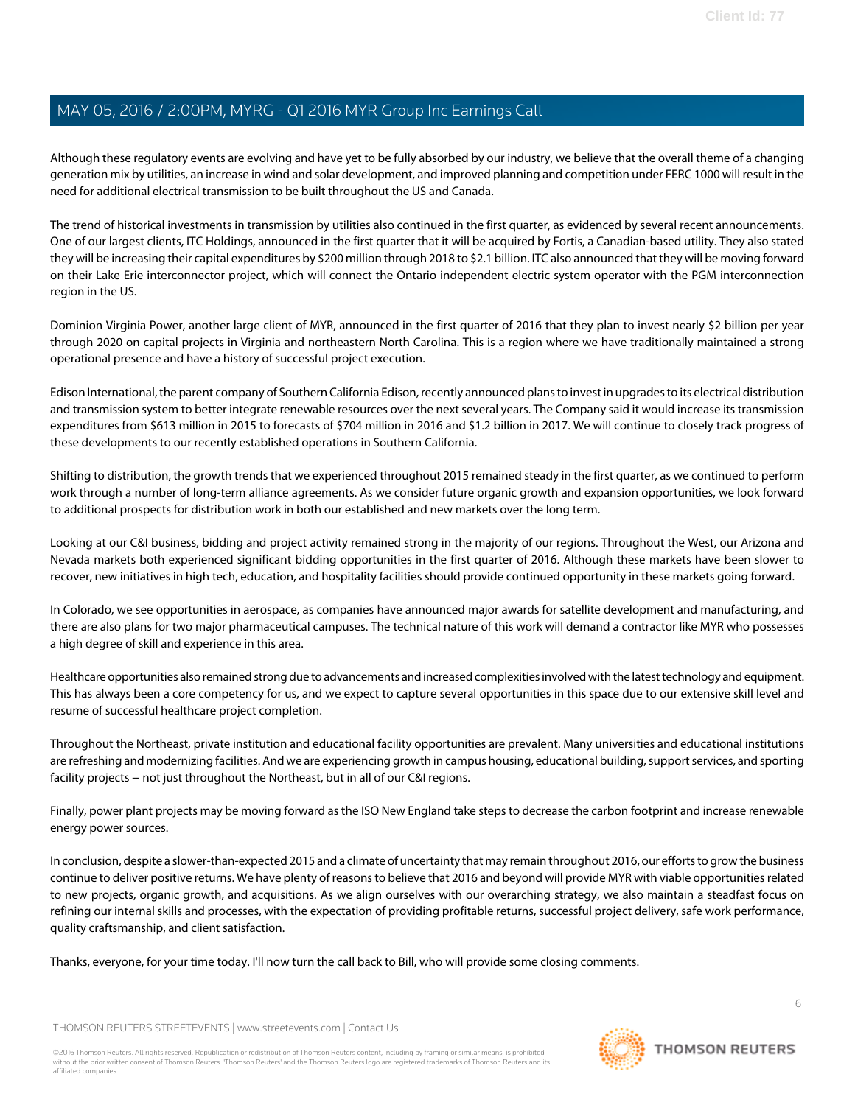Although these regulatory events are evolving and have yet to be fully absorbed by our industry, we believe that the overall theme of a changing generation mix by utilities, an increase in wind and solar development, and improved planning and competition under FERC 1000 will result in the need for additional electrical transmission to be built throughout the US and Canada.

The trend of historical investments in transmission by utilities also continued in the first quarter, as evidenced by several recent announcements. One of our largest clients, ITC Holdings, announced in the first quarter that it will be acquired by Fortis, a Canadian-based utility. They also stated they will be increasing their capital expenditures by \$200 million through 2018 to \$2.1 billion. ITC also announced that they will be moving forward on their Lake Erie interconnector project, which will connect the Ontario independent electric system operator with the PGM interconnection region in the US.

Dominion Virginia Power, another large client of MYR, announced in the first quarter of 2016 that they plan to invest nearly \$2 billion per year through 2020 on capital projects in Virginia and northeastern North Carolina. This is a region where we have traditionally maintained a strong operational presence and have a history of successful project execution.

Edison International, the parent company of Southern California Edison, recently announced plans to invest in upgrades to its electrical distribution and transmission system to better integrate renewable resources over the next several years. The Company said it would increase its transmission expenditures from \$613 million in 2015 to forecasts of \$704 million in 2016 and \$1.2 billion in 2017. We will continue to closely track progress of these developments to our recently established operations in Southern California.

Shifting to distribution, the growth trends that we experienced throughout 2015 remained steady in the first quarter, as we continued to perform work through a number of long-term alliance agreements. As we consider future organic growth and expansion opportunities, we look forward to additional prospects for distribution work in both our established and new markets over the long term.

Looking at our C&I business, bidding and project activity remained strong in the majority of our regions. Throughout the West, our Arizona and Nevada markets both experienced significant bidding opportunities in the first quarter of 2016. Although these markets have been slower to recover, new initiatives in high tech, education, and hospitality facilities should provide continued opportunity in these markets going forward.

In Colorado, we see opportunities in aerospace, as companies have announced major awards for satellite development and manufacturing, and there are also plans for two major pharmaceutical campuses. The technical nature of this work will demand a contractor like MYR who possesses a high degree of skill and experience in this area.

Healthcare opportunities also remained strong due to advancements and increased complexities involved with the latest technology and equipment. This has always been a core competency for us, and we expect to capture several opportunities in this space due to our extensive skill level and resume of successful healthcare project completion.

Throughout the Northeast, private institution and educational facility opportunities are prevalent. Many universities and educational institutions are refreshing and modernizing facilities. And we are experiencing growth in campus housing, educational building, support services, and sporting facility projects -- not just throughout the Northeast, but in all of our C&I regions.

Finally, power plant projects may be moving forward as the ISO New England take steps to decrease the carbon footprint and increase renewable energy power sources.

In conclusion, despite a slower-than-expected 2015 and a climate of uncertainty that may remain throughout 2016, our efforts to grow the business continue to deliver positive returns. We have plenty of reasons to believe that 2016 and beyond will provide MYR with viable opportunities related to new projects, organic growth, and acquisitions. As we align ourselves with our overarching strategy, we also maintain a steadfast focus on refining our internal skills and processes, with the expectation of providing profitable returns, successful project delivery, safe work performance, quality craftsmanship, and client satisfaction.

Thanks, everyone, for your time today. I'll now turn the call back to Bill, who will provide some closing comments.

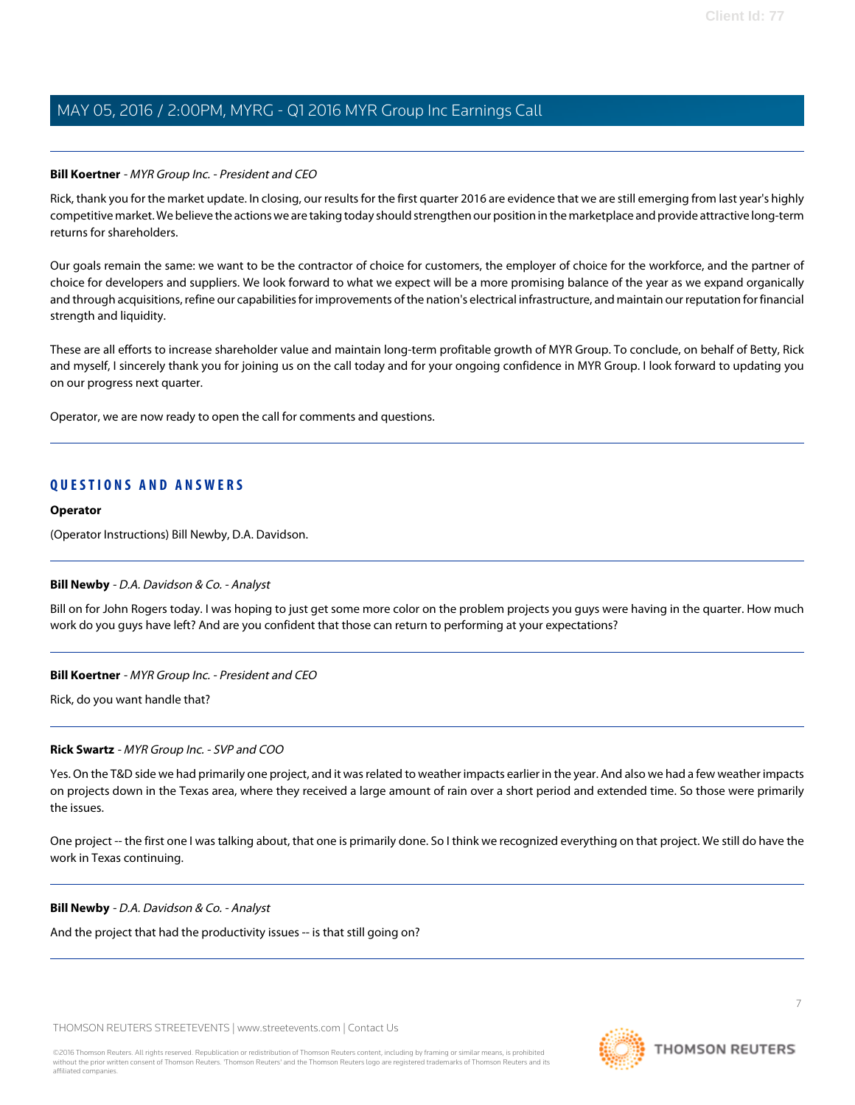#### **Bill Koertner** - MYR Group Inc. - President and CEO

Rick, thank you for the market update. In closing, our results for the first quarter 2016 are evidence that we are still emerging from last year's highly competitive market. We believe the actions we are taking today should strengthen our position in the marketplace and provide attractive long-term returns for shareholders.

Our goals remain the same: we want to be the contractor of choice for customers, the employer of choice for the workforce, and the partner of choice for developers and suppliers. We look forward to what we expect will be a more promising balance of the year as we expand organically and through acquisitions, refine our capabilities for improvements of the nation's electrical infrastructure, and maintain our reputation for financial strength and liquidity.

These are all efforts to increase shareholder value and maintain long-term profitable growth of MYR Group. To conclude, on behalf of Betty, Rick and myself, I sincerely thank you for joining us on the call today and for your ongoing confidence in MYR Group. I look forward to updating you on our progress next quarter.

Operator, we are now ready to open the call for comments and questions.

# **QUESTIONS AND ANSWERS**

#### **Operator**

<span id="page-6-0"></span>(Operator Instructions) Bill Newby, D.A. Davidson.

#### **Bill Newby** - D.A. Davidson & Co. - Analyst

Bill on for John Rogers today. I was hoping to just get some more color on the problem projects you guys were having in the quarter. How much work do you guys have left? And are you confident that those can return to performing at your expectations?

#### **Bill Koertner** - MYR Group Inc. - President and CEO

Rick, do you want handle that?

#### **Rick Swartz** - MYR Group Inc. - SVP and COO

Yes. On the T&D side we had primarily one project, and it was related to weather impacts earlier in the year. And also we had a few weather impacts on projects down in the Texas area, where they received a large amount of rain over a short period and extended time. So those were primarily the issues.

One project -- the first one I was talking about, that one is primarily done. So I think we recognized everything on that project. We still do have the work in Texas continuing.

#### **Bill Newby** - D.A. Davidson & Co. - Analyst

And the project that had the productivity issues -- is that still going on?

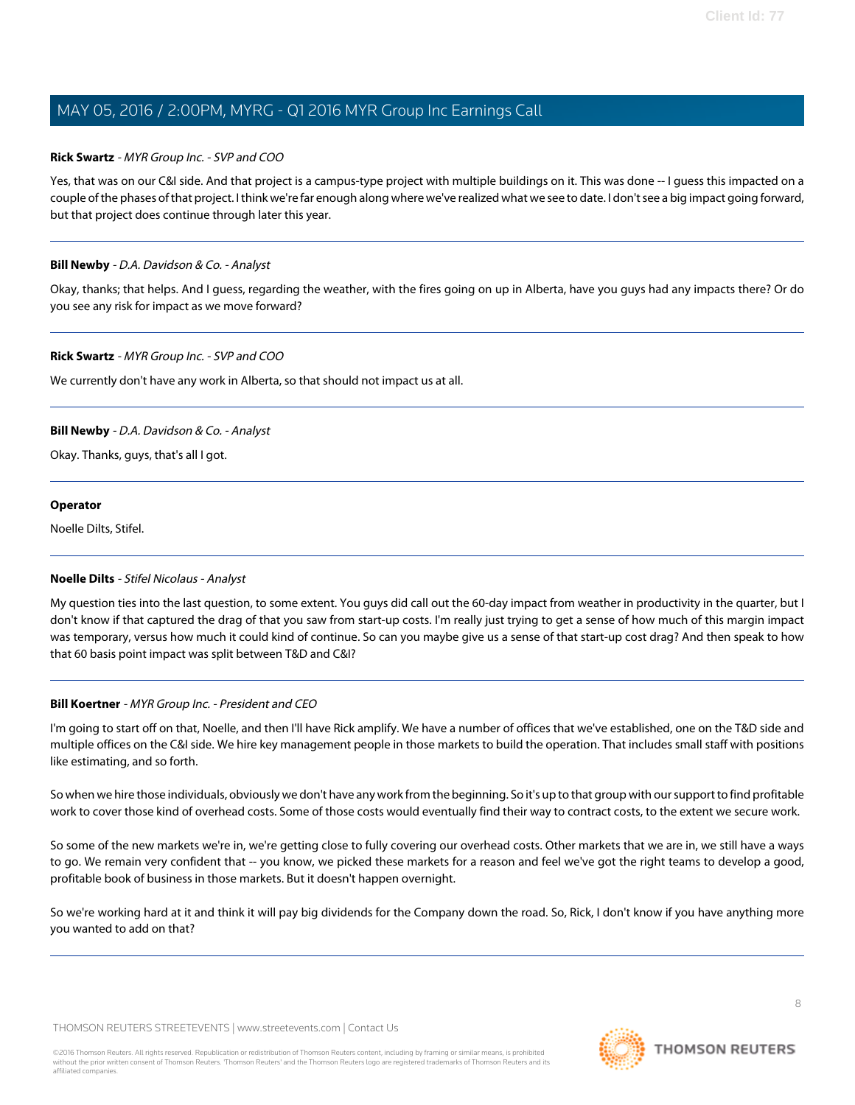#### **Rick Swartz** - MYR Group Inc. - SVP and COO

Yes, that was on our C&I side. And that project is a campus-type project with multiple buildings on it. This was done -- I guess this impacted on a couple of the phases of that project. I think we're far enough along where we've realized what we see to date. I don't see a big impact going forward, but that project does continue through later this year.

### **Bill Newby** - D.A. Davidson & Co. - Analyst

Okay, thanks; that helps. And I guess, regarding the weather, with the fires going on up in Alberta, have you guys had any impacts there? Or do you see any risk for impact as we move forward?

### **Rick Swartz** - MYR Group Inc. - SVP and COO

We currently don't have any work in Alberta, so that should not impact us at all.

# **Bill Newby** - D.A. Davidson & Co. - Analyst

Okay. Thanks, guys, that's all I got.

#### **Operator**

<span id="page-7-0"></span>Noelle Dilts, Stifel.

# **Noelle Dilts** - Stifel Nicolaus - Analyst

My question ties into the last question, to some extent. You guys did call out the 60-day impact from weather in productivity in the quarter, but I don't know if that captured the drag of that you saw from start-up costs. I'm really just trying to get a sense of how much of this margin impact was temporary, versus how much it could kind of continue. So can you maybe give us a sense of that start-up cost drag? And then speak to how that 60 basis point impact was split between T&D and C&I?

#### **Bill Koertner** - MYR Group Inc. - President and CEO

I'm going to start off on that, Noelle, and then I'll have Rick amplify. We have a number of offices that we've established, one on the T&D side and multiple offices on the C&I side. We hire key management people in those markets to build the operation. That includes small staff with positions like estimating, and so forth.

So when we hire those individuals, obviously we don't have any work from the beginning. So it's up to that group with our support to find profitable work to cover those kind of overhead costs. Some of those costs would eventually find their way to contract costs, to the extent we secure work.

So some of the new markets we're in, we're getting close to fully covering our overhead costs. Other markets that we are in, we still have a ways to go. We remain very confident that -- you know, we picked these markets for a reason and feel we've got the right teams to develop a good, profitable book of business in those markets. But it doesn't happen overnight.

So we're working hard at it and think it will pay big dividends for the Company down the road. So, Rick, I don't know if you have anything more you wanted to add on that?

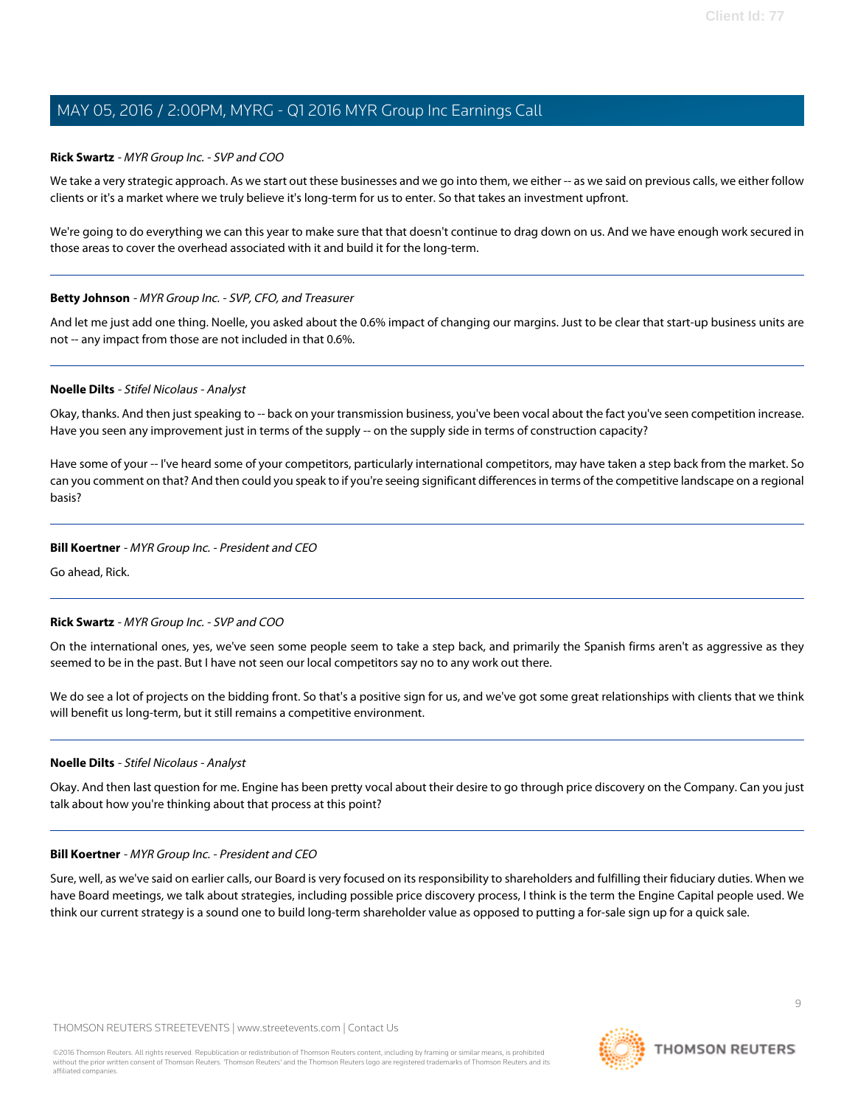#### **Rick Swartz** - MYR Group Inc. - SVP and COO

We take a very strategic approach. As we start out these businesses and we go into them, we either -- as we said on previous calls, we either follow clients or it's a market where we truly believe it's long-term for us to enter. So that takes an investment upfront.

We're going to do everything we can this year to make sure that that doesn't continue to drag down on us. And we have enough work secured in those areas to cover the overhead associated with it and build it for the long-term.

#### **Betty Johnson** - MYR Group Inc. - SVP, CFO, and Treasurer

And let me just add one thing. Noelle, you asked about the 0.6% impact of changing our margins. Just to be clear that start-up business units are not -- any impact from those are not included in that 0.6%.

#### **Noelle Dilts** - Stifel Nicolaus - Analyst

Okay, thanks. And then just speaking to -- back on your transmission business, you've been vocal about the fact you've seen competition increase. Have you seen any improvement just in terms of the supply -- on the supply side in terms of construction capacity?

Have some of your -- I've heard some of your competitors, particularly international competitors, may have taken a step back from the market. So can you comment on that? And then could you speak to if you're seeing significant differences in terms of the competitive landscape on a regional basis?

#### **Bill Koertner** - MYR Group Inc. - President and CEO

Go ahead, Rick.

#### **Rick Swartz** - MYR Group Inc. - SVP and COO

On the international ones, yes, we've seen some people seem to take a step back, and primarily the Spanish firms aren't as aggressive as they seemed to be in the past. But I have not seen our local competitors say no to any work out there.

We do see a lot of projects on the bidding front. So that's a positive sign for us, and we've got some great relationships with clients that we think will benefit us long-term, but it still remains a competitive environment.

#### **Noelle Dilts** - Stifel Nicolaus - Analyst

Okay. And then last question for me. Engine has been pretty vocal about their desire to go through price discovery on the Company. Can you just talk about how you're thinking about that process at this point?

#### **Bill Koertner** - MYR Group Inc. - President and CEO

Sure, well, as we've said on earlier calls, our Board is very focused on its responsibility to shareholders and fulfilling their fiduciary duties. When we have Board meetings, we talk about strategies, including possible price discovery process, I think is the term the Engine Capital people used. We think our current strategy is a sound one to build long-term shareholder value as opposed to putting a for-sale sign up for a quick sale.

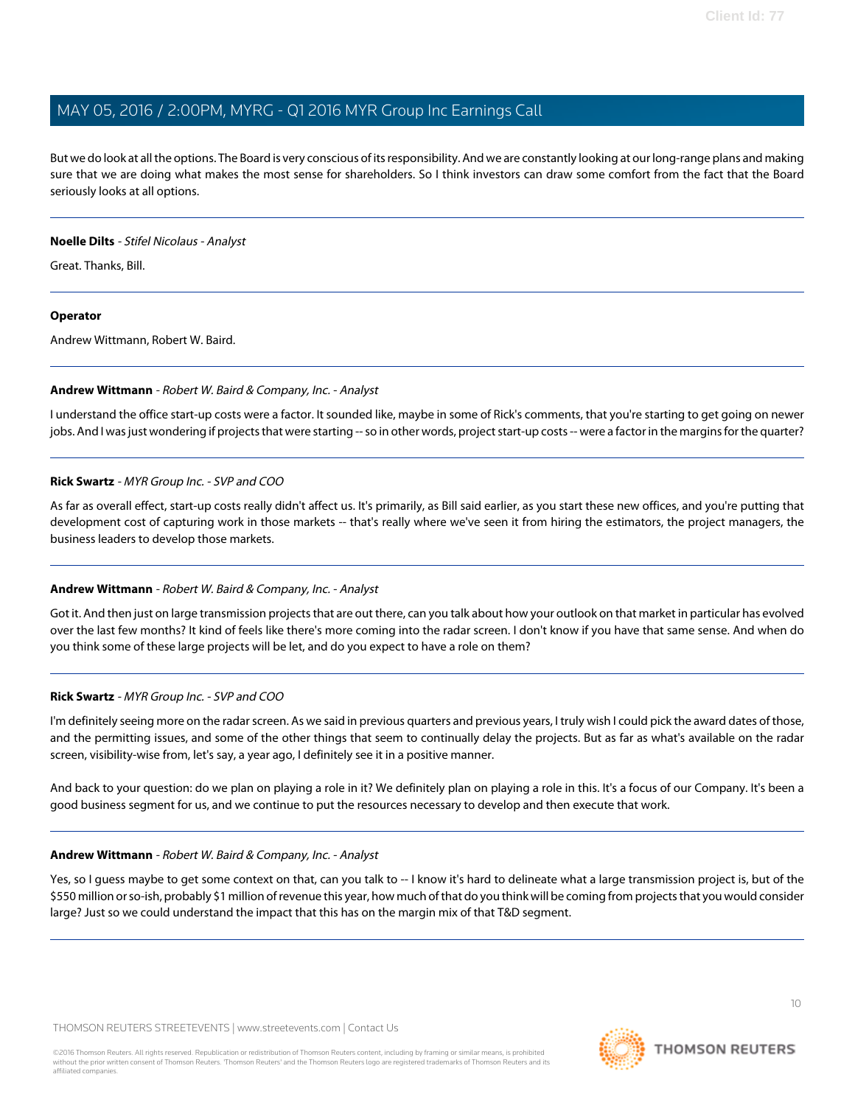But we do look at all the options. The Board is very conscious of its responsibility. And we are constantly looking at our long-range plans and making sure that we are doing what makes the most sense for shareholders. So I think investors can draw some comfort from the fact that the Board seriously looks at all options.

### **Noelle Dilts** - Stifel Nicolaus - Analyst

Great. Thanks, Bill.

# **Operator**

<span id="page-9-0"></span>Andrew Wittmann, Robert W. Baird.

### **Andrew Wittmann** - Robert W. Baird & Company, Inc. - Analyst

I understand the office start-up costs were a factor. It sounded like, maybe in some of Rick's comments, that you're starting to get going on newer jobs. And I was just wondering if projects that were starting -- so in other words, project start-up costs -- were a factor in the margins for the quarter?

### **Rick Swartz** - MYR Group Inc. - SVP and COO

As far as overall effect, start-up costs really didn't affect us. It's primarily, as Bill said earlier, as you start these new offices, and you're putting that development cost of capturing work in those markets -- that's really where we've seen it from hiring the estimators, the project managers, the business leaders to develop those markets.

# **Andrew Wittmann** - Robert W. Baird & Company, Inc. - Analyst

Got it. And then just on large transmission projects that are out there, can you talk about how your outlook on that market in particular has evolved over the last few months? It kind of feels like there's more coming into the radar screen. I don't know if you have that same sense. And when do you think some of these large projects will be let, and do you expect to have a role on them?

#### **Rick Swartz** - MYR Group Inc. - SVP and COO

I'm definitely seeing more on the radar screen. As we said in previous quarters and previous years, I truly wish I could pick the award dates of those, and the permitting issues, and some of the other things that seem to continually delay the projects. But as far as what's available on the radar screen, visibility-wise from, let's say, a year ago, I definitely see it in a positive manner.

And back to your question: do we plan on playing a role in it? We definitely plan on playing a role in this. It's a focus of our Company. It's been a good business segment for us, and we continue to put the resources necessary to develop and then execute that work.

#### **Andrew Wittmann** - Robert W. Baird & Company, Inc. - Analyst

Yes, so I quess maybe to get some context on that, can you talk to -- I know it's hard to delineate what a large transmission project is, but of the \$550 million or so-ish, probably \$1 million of revenue this year, how much of that do you think will be coming from projects that you would consider large? Just so we could understand the impact that this has on the margin mix of that T&D segment.

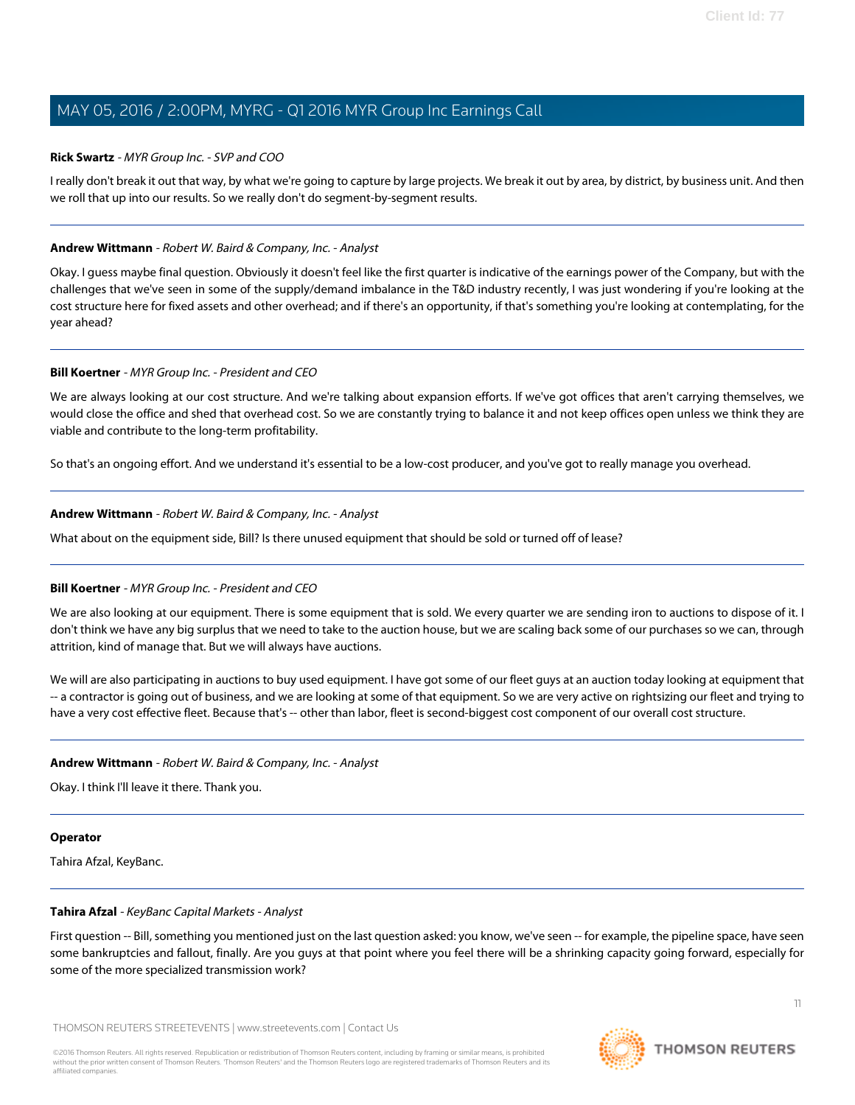#### **Rick Swartz** - MYR Group Inc. - SVP and COO

I really don't break it out that way, by what we're going to capture by large projects. We break it out by area, by district, by business unit. And then we roll that up into our results. So we really don't do segment-by-segment results.

#### **Andrew Wittmann** - Robert W. Baird & Company, Inc. - Analyst

Okay. I guess maybe final question. Obviously it doesn't feel like the first quarter is indicative of the earnings power of the Company, but with the challenges that we've seen in some of the supply/demand imbalance in the T&D industry recently, I was just wondering if you're looking at the cost structure here for fixed assets and other overhead; and if there's an opportunity, if that's something you're looking at contemplating, for the year ahead?

#### **Bill Koertner** - MYR Group Inc. - President and CEO

We are always looking at our cost structure. And we're talking about expansion efforts. If we've got offices that aren't carrying themselves, we would close the office and shed that overhead cost. So we are constantly trying to balance it and not keep offices open unless we think they are viable and contribute to the long-term profitability.

So that's an ongoing effort. And we understand it's essential to be a low-cost producer, and you've got to really manage you overhead.

#### **Andrew Wittmann** - Robert W. Baird & Company, Inc. - Analyst

What about on the equipment side, Bill? Is there unused equipment that should be sold or turned off of lease?

#### **Bill Koertner** - MYR Group Inc. - President and CEO

We are also looking at our equipment. There is some equipment that is sold. We every quarter we are sending iron to auctions to dispose of it. I don't think we have any big surplus that we need to take to the auction house, but we are scaling back some of our purchases so we can, through attrition, kind of manage that. But we will always have auctions.

We will are also participating in auctions to buy used equipment. I have got some of our fleet guys at an auction today looking at equipment that -- a contractor is going out of business, and we are looking at some of that equipment. So we are very active on rightsizing our fleet and trying to have a very cost effective fleet. Because that's -- other than labor, fleet is second-biggest cost component of our overall cost structure.

#### **Andrew Wittmann** - Robert W. Baird & Company, Inc. - Analyst

Okay. I think I'll leave it there. Thank you.

#### <span id="page-10-0"></span>**Operator**

Tahira Afzal, KeyBanc.

#### **Tahira Afzal** - KeyBanc Capital Markets - Analyst

First question -- Bill, something you mentioned just on the last question asked: you know, we've seen -- for example, the pipeline space, have seen some bankruptcies and fallout, finally. Are you guys at that point where you feel there will be a shrinking capacity going forward, especially for some of the more specialized transmission work?

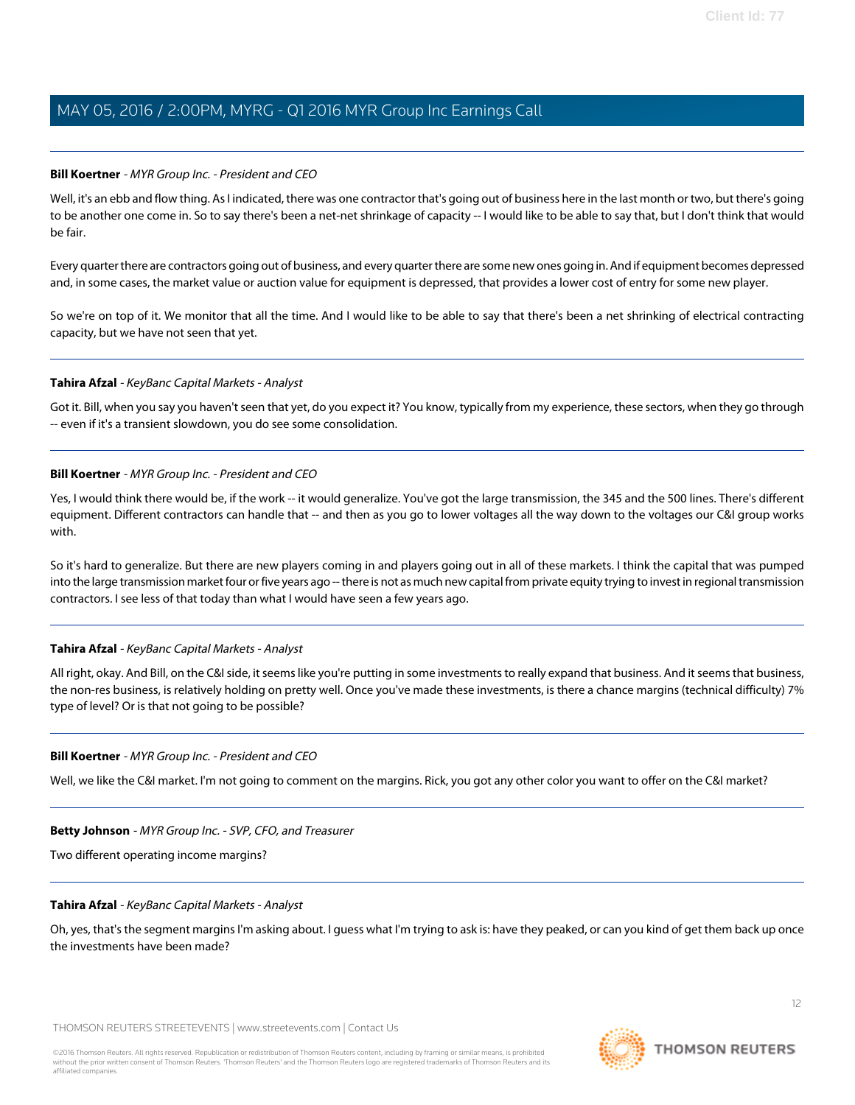#### **Bill Koertner** - MYR Group Inc. - President and CEO

Well, it's an ebb and flow thing. As I indicated, there was one contractor that's going out of business here in the last month or two, but there's going to be another one come in. So to say there's been a net-net shrinkage of capacity -- I would like to be able to say that, but I don't think that would be fair.

Every quarter there are contractors going out of business, and every quarter there are some new ones going in. And if equipment becomes depressed and, in some cases, the market value or auction value for equipment is depressed, that provides a lower cost of entry for some new player.

So we're on top of it. We monitor that all the time. And I would like to be able to say that there's been a net shrinking of electrical contracting capacity, but we have not seen that yet.

#### **Tahira Afzal** - KeyBanc Capital Markets - Analyst

Got it. Bill, when you say you haven't seen that yet, do you expect it? You know, typically from my experience, these sectors, when they go through -- even if it's a transient slowdown, you do see some consolidation.

#### **Bill Koertner** - MYR Group Inc. - President and CEO

Yes, I would think there would be, if the work -- it would generalize. You've got the large transmission, the 345 and the 500 lines. There's different equipment. Different contractors can handle that -- and then as you go to lower voltages all the way down to the voltages our C&I group works with.

So it's hard to generalize. But there are new players coming in and players going out in all of these markets. I think the capital that was pumped into the large transmission market four or five years ago -- there is not as much new capital from private equity trying to invest in regional transmission contractors. I see less of that today than what I would have seen a few years ago.

#### **Tahira Afzal** - KeyBanc Capital Markets - Analyst

All right, okay. And Bill, on the C&I side, it seems like you're putting in some investments to really expand that business. And it seems that business, the non-res business, is relatively holding on pretty well. Once you've made these investments, is there a chance margins (technical difficulty) 7% type of level? Or is that not going to be possible?

#### **Bill Koertner** - MYR Group Inc. - President and CEO

Well, we like the C&I market. I'm not going to comment on the margins. Rick, you got any other color you want to offer on the C&I market?

#### **Betty Johnson** - MYR Group Inc. - SVP, CFO, and Treasurer

Two different operating income margins?

#### **Tahira Afzal** - KeyBanc Capital Markets - Analyst

Oh, yes, that's the segment margins I'm asking about. I guess what I'm trying to ask is: have they peaked, or can you kind of get them back up once the investments have been made?

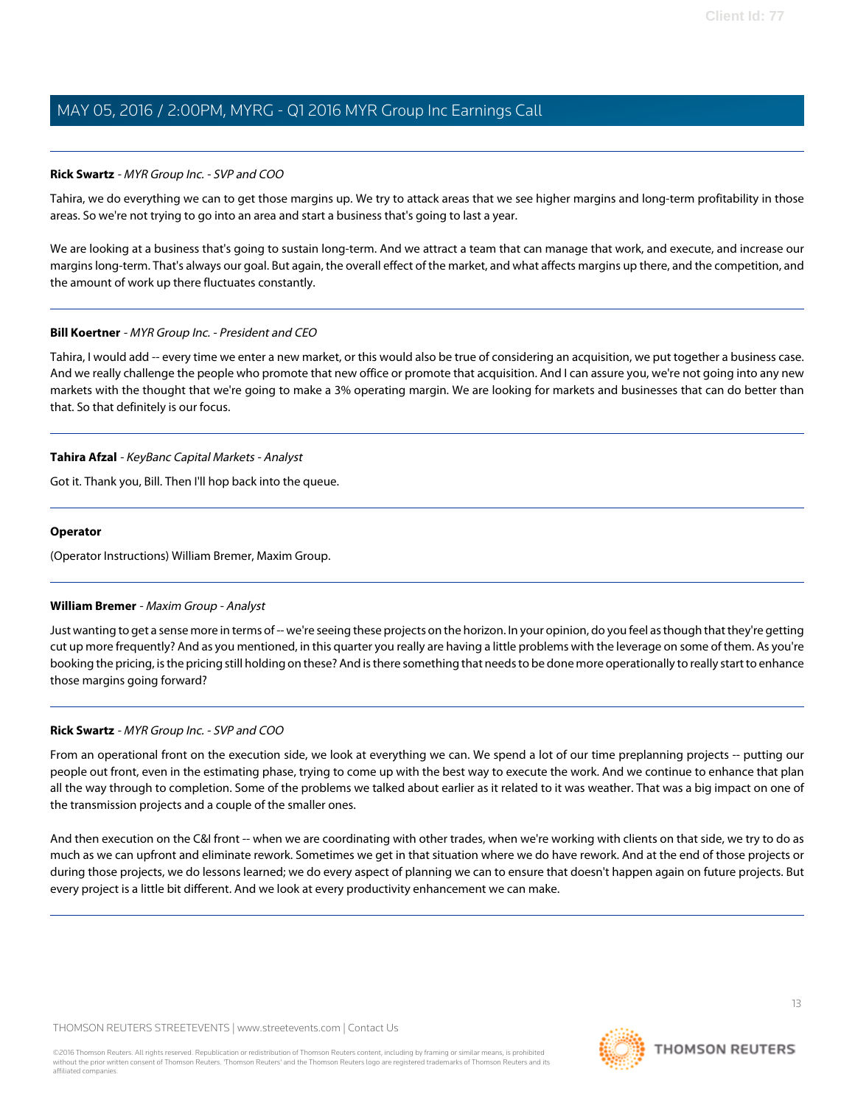### **Rick Swartz** - MYR Group Inc. - SVP and COO

Tahira, we do everything we can to get those margins up. We try to attack areas that we see higher margins and long-term profitability in those areas. So we're not trying to go into an area and start a business that's going to last a year.

We are looking at a business that's going to sustain long-term. And we attract a team that can manage that work, and execute, and increase our margins long-term. That's always our goal. But again, the overall effect of the market, and what affects margins up there, and the competition, and the amount of work up there fluctuates constantly.

### **Bill Koertner** - MYR Group Inc. - President and CEO

Tahira, I would add -- every time we enter a new market, or this would also be true of considering an acquisition, we put together a business case. And we really challenge the people who promote that new office or promote that acquisition. And I can assure you, we're not going into any new markets with the thought that we're going to make a 3% operating margin. We are looking for markets and businesses that can do better than that. So that definitely is our focus.

### **Tahira Afzal** - KeyBanc Capital Markets - Analyst

Got it. Thank you, Bill. Then I'll hop back into the queue.

#### **Operator**

<span id="page-12-0"></span>(Operator Instructions) William Bremer, Maxim Group.

#### **William Bremer** - Maxim Group - Analyst

Just wanting to get a sense more in terms of -- we're seeing these projects on the horizon. In your opinion, do you feel as though that they're getting cut up more frequently? And as you mentioned, in this quarter you really are having a little problems with the leverage on some of them. As you're booking the pricing, is the pricing still holding on these? And is there something that needs to be done more operationally to really start to enhance those margins going forward?

#### **Rick Swartz** - MYR Group Inc. - SVP and COO

From an operational front on the execution side, we look at everything we can. We spend a lot of our time preplanning projects -- putting our people out front, even in the estimating phase, trying to come up with the best way to execute the work. And we continue to enhance that plan all the way through to completion. Some of the problems we talked about earlier as it related to it was weather. That was a big impact on one of the transmission projects and a couple of the smaller ones.

And then execution on the C&I front -- when we are coordinating with other trades, when we're working with clients on that side, we try to do as much as we can upfront and eliminate rework. Sometimes we get in that situation where we do have rework. And at the end of those projects or during those projects, we do lessons learned; we do every aspect of planning we can to ensure that doesn't happen again on future projects. But every project is a little bit different. And we look at every productivity enhancement we can make.

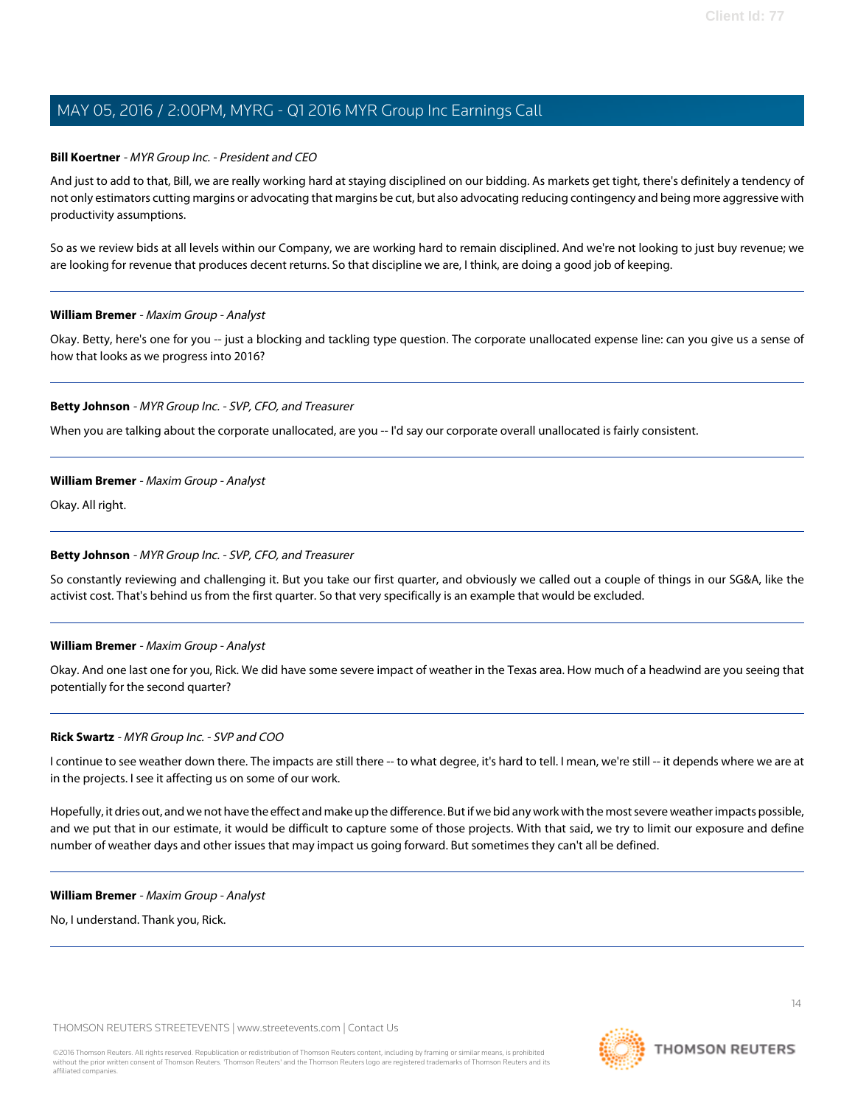### **Bill Koertner** - MYR Group Inc. - President and CEO

And just to add to that, Bill, we are really working hard at staying disciplined on our bidding. As markets get tight, there's definitely a tendency of not only estimators cutting margins or advocating that margins be cut, but also advocating reducing contingency and being more aggressive with productivity assumptions.

So as we review bids at all levels within our Company, we are working hard to remain disciplined. And we're not looking to just buy revenue; we are looking for revenue that produces decent returns. So that discipline we are, I think, are doing a good job of keeping.

#### **William Bremer** - Maxim Group - Analyst

Okay. Betty, here's one for you -- just a blocking and tackling type question. The corporate unallocated expense line: can you give us a sense of how that looks as we progress into 2016?

### **Betty Johnson** - MYR Group Inc. - SVP, CFO, and Treasurer

When you are talking about the corporate unallocated, are you -- I'd say our corporate overall unallocated is fairly consistent.

### **William Bremer** - Maxim Group - Analyst

Okay. All right.

#### **Betty Johnson** - MYR Group Inc. - SVP, CFO, and Treasurer

So constantly reviewing and challenging it. But you take our first quarter, and obviously we called out a couple of things in our SG&A, like the activist cost. That's behind us from the first quarter. So that very specifically is an example that would be excluded.

#### **William Bremer** - Maxim Group - Analyst

Okay. And one last one for you, Rick. We did have some severe impact of weather in the Texas area. How much of a headwind are you seeing that potentially for the second quarter?

#### **Rick Swartz** - MYR Group Inc. - SVP and COO

I continue to see weather down there. The impacts are still there -- to what degree, it's hard to tell. I mean, we're still -- it depends where we are at in the projects. I see it affecting us on some of our work.

Hopefully, it dries out, and we not have the effect and make up the difference. But if we bid any work with the most severe weather impacts possible, and we put that in our estimate, it would be difficult to capture some of those projects. With that said, we try to limit our exposure and define number of weather days and other issues that may impact us going forward. But sometimes they can't all be defined.

#### **William Bremer** - Maxim Group - Analyst

No, I understand. Thank you, Rick.

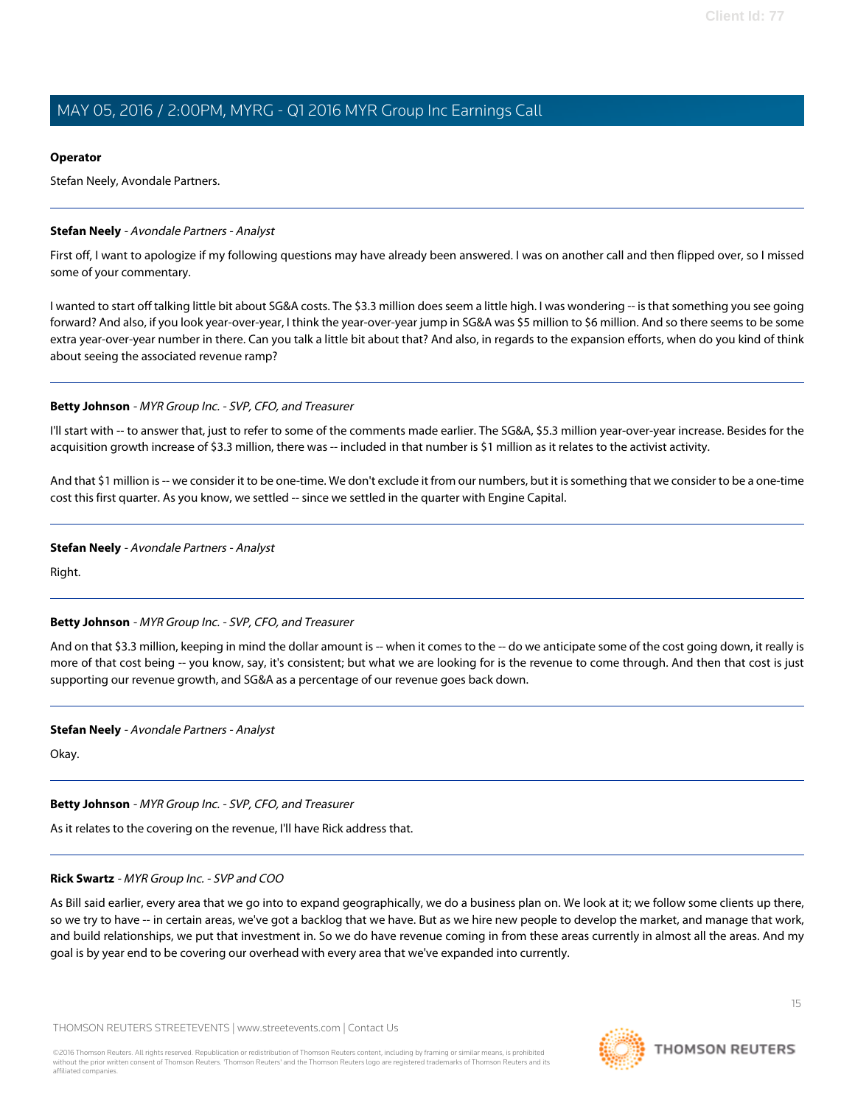#### **Operator**

Stefan Neely, Avondale Partners.

#### <span id="page-14-0"></span>**Stefan Neely** - Avondale Partners - Analyst

First off, I want to apologize if my following questions may have already been answered. I was on another call and then flipped over, so I missed some of your commentary.

I wanted to start off talking little bit about SG&A costs. The \$3.3 million does seem a little high. I was wondering -- is that something you see going forward? And also, if you look year-over-year, I think the year-over-year jump in SG&A was \$5 million to \$6 million. And so there seems to be some extra year-over-year number in there. Can you talk a little bit about that? And also, in regards to the expansion efforts, when do you kind of think about seeing the associated revenue ramp?

#### **Betty Johnson** - MYR Group Inc. - SVP, CFO, and Treasurer

I'll start with -- to answer that, just to refer to some of the comments made earlier. The SG&A, \$5.3 million year-over-year increase. Besides for the acquisition growth increase of \$3.3 million, there was -- included in that number is \$1 million as it relates to the activist activity.

And that \$1 million is -- we consider it to be one-time. We don't exclude it from our numbers, but it is something that we consider to be a one-time cost this first quarter. As you know, we settled -- since we settled in the quarter with Engine Capital.

#### **Stefan Neely** - Avondale Partners - Analyst

Right.

#### **Betty Johnson** - MYR Group Inc. - SVP, CFO, and Treasurer

And on that \$3.3 million, keeping in mind the dollar amount is -- when it comes to the -- do we anticipate some of the cost going down, it really is more of that cost being -- you know, say, it's consistent; but what we are looking for is the revenue to come through. And then that cost is just supporting our revenue growth, and SG&A as a percentage of our revenue goes back down.

#### **Stefan Neely** - Avondale Partners - Analyst

Okay.

#### **Betty Johnson** - MYR Group Inc. - SVP, CFO, and Treasurer

As it relates to the covering on the revenue, I'll have Rick address that.

#### **Rick Swartz** - MYR Group Inc. - SVP and COO

As Bill said earlier, every area that we go into to expand geographically, we do a business plan on. We look at it; we follow some clients up there, so we try to have -- in certain areas, we've got a backlog that we have. But as we hire new people to develop the market, and manage that work, and build relationships, we put that investment in. So we do have revenue coming in from these areas currently in almost all the areas. And my goal is by year end to be covering our overhead with every area that we've expanded into currently.

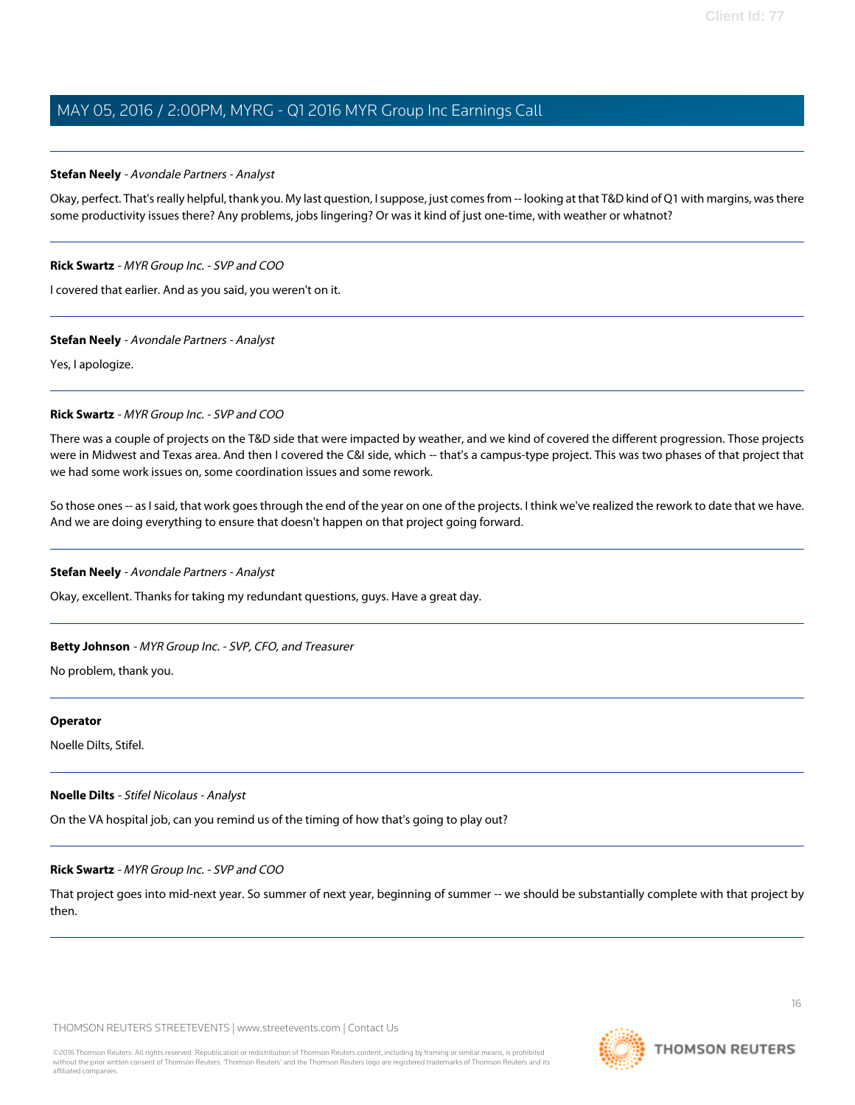#### **Stefan Neely** - Avondale Partners - Analyst

Okay, perfect. That's really helpful, thank you. My last question, I suppose, just comes from -- looking at that T&D kind of Q1 with margins, was there some productivity issues there? Any problems, jobs lingering? Or was it kind of just one-time, with weather or whatnot?

#### **Rick Swartz** - MYR Group Inc. - SVP and COO

I covered that earlier. And as you said, you weren't on it.

#### **Stefan Neely** - Avondale Partners - Analyst

Yes, I apologize.

### **Rick Swartz** - MYR Group Inc. - SVP and COO

There was a couple of projects on the T&D side that were impacted by weather, and we kind of covered the different progression. Those projects were in Midwest and Texas area. And then I covered the C&I side, which -- that's a campus-type project. This was two phases of that project that we had some work issues on, some coordination issues and some rework.

So those ones -- as I said, that work goes through the end of the year on one of the projects. I think we've realized the rework to date that we have. And we are doing everything to ensure that doesn't happen on that project going forward.

# **Stefan Neely** - Avondale Partners - Analyst

Okay, excellent. Thanks for taking my redundant questions, guys. Have a great day.

# **Betty Johnson** - MYR Group Inc. - SVP, CFO, and Treasurer

No problem, thank you.

#### **Operator**

Noelle Dilts, Stifel.

#### **Noelle Dilts** - Stifel Nicolaus - Analyst

On the VA hospital job, can you remind us of the timing of how that's going to play out?

#### **Rick Swartz** - MYR Group Inc. - SVP and COO

That project goes into mid-next year. So summer of next year, beginning of summer -- we should be substantially complete with that project by then.